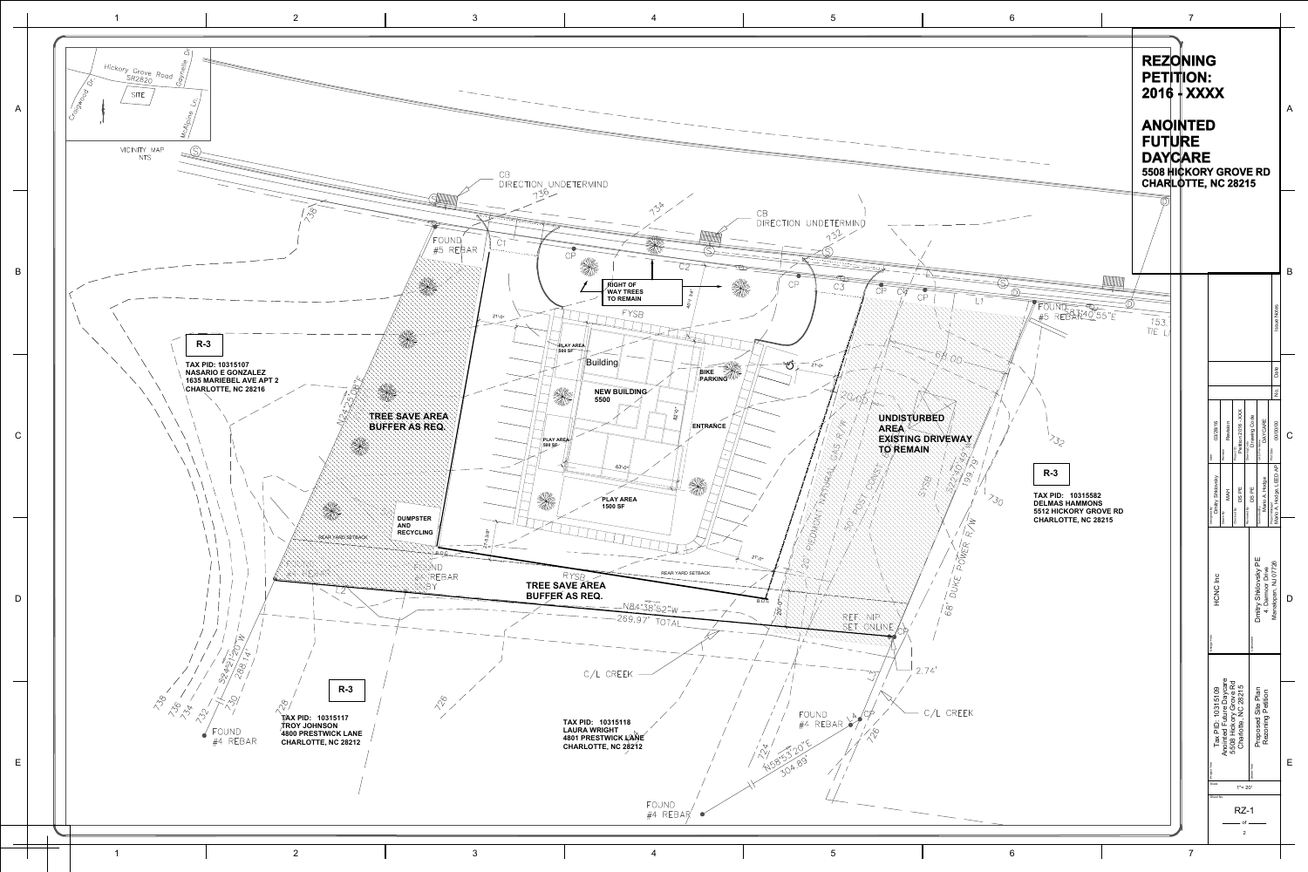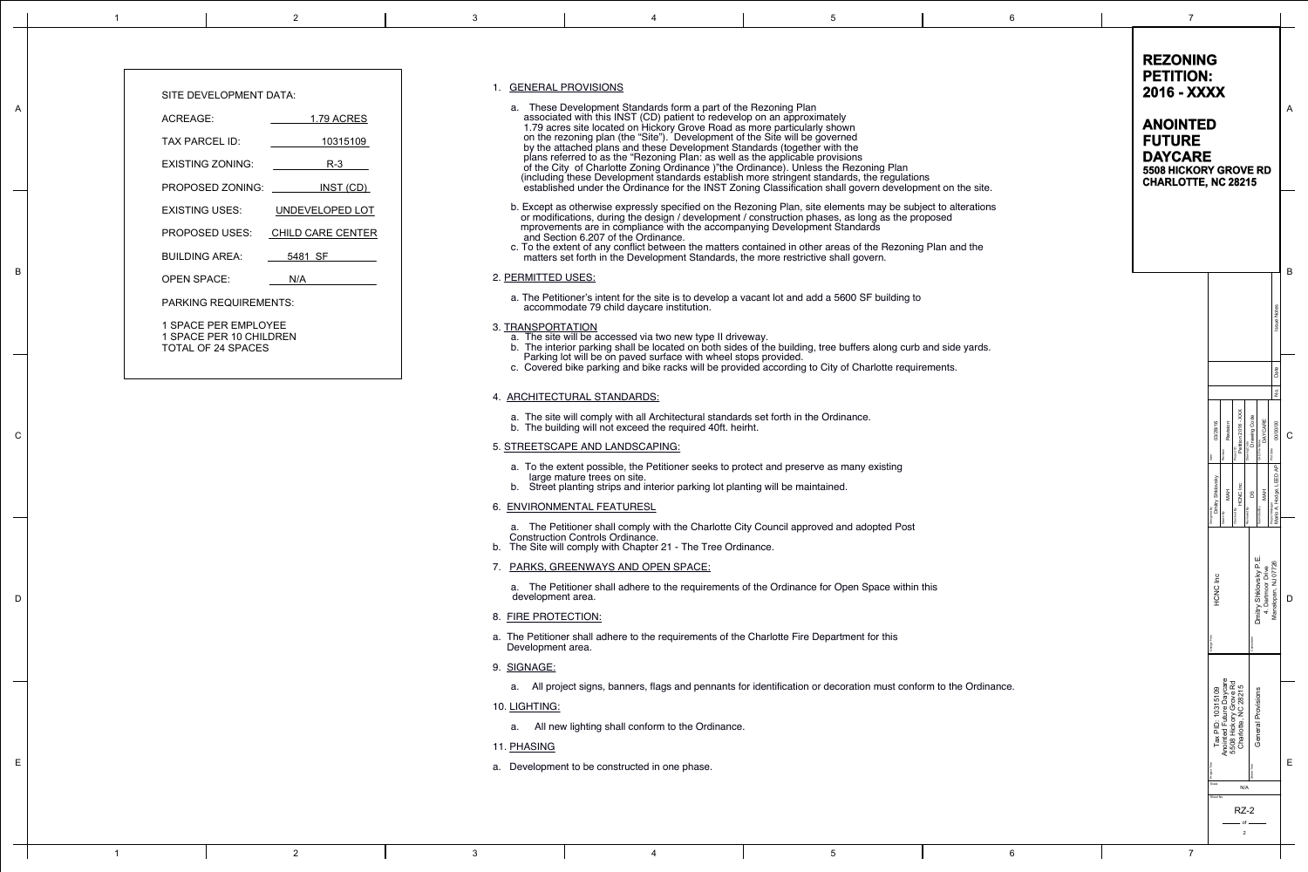| ACREAGE:<br><b>TAX PARCEL ID:</b><br><b>EXISTING ZONING:</b><br><b>PROPOSED ZONING:</b><br><b>EXISTING USES:</b><br><b>PROPOSED USES:</b> | <b>SITE DEVELOPMENT DATA:</b><br><b>1.79 ACRES</b><br>10315109<br>$R-3$<br>INST (CD)<br>UNDEVELOPED LOT<br><b>CHILD CARE CENTER</b><br>5481 SF<br>N/A |                                                                                                                                                                                                  | <b>GENERAL PROVISIONS</b><br>a. These Development Standards form a part of the Rezoning Plan<br>associated with this INST (CD) patient to redevelop on an approximately<br>1.79 acres site located on Hickory Grove Road as more particularly shown<br>on the rezoning plan (the "Site"). Development of the Site will be governed<br>by the attached plans and these Development Standards (together with the<br>plans referred to as the "Rezoning Plan: as well as the applicable provisions<br>of the City of Charlotte Zoning Ordinance )"the Ordinance). Unless the Rezoning Plan<br>(including these Development standards establish more stringent standards, the regulations<br>established under the Ordinance for the INST Zoning Classification shall govern development on the site.<br>b. Except as otherwise expressly specified on the Rezoning Plan, site elements may be subject to alterations<br>or modifications, during the design / development / construction phases, as long as the proposed<br>mprovements are in compliance with the accompanying Development Standards<br>and Section 6.207 of the Ordinance. |                                                                                                                                                                                                                        |  |  | <b>REZONING</b><br><b>PETITION:</b><br>2016 - XXXX<br><b>ANOINTED</b><br><b>FUTURE</b><br><b>DAYCARE</b><br><b>5508 HICKORY GROVE RD</b><br><b>CHARLOTTE, NC 28215</b> |  |
|-------------------------------------------------------------------------------------------------------------------------------------------|-------------------------------------------------------------------------------------------------------------------------------------------------------|--------------------------------------------------------------------------------------------------------------------------------------------------------------------------------------------------|-------------------------------------------------------------------------------------------------------------------------------------------------------------------------------------------------------------------------------------------------------------------------------------------------------------------------------------------------------------------------------------------------------------------------------------------------------------------------------------------------------------------------------------------------------------------------------------------------------------------------------------------------------------------------------------------------------------------------------------------------------------------------------------------------------------------------------------------------------------------------------------------------------------------------------------------------------------------------------------------------------------------------------------------------------------------------------------------------------------------------------------------|------------------------------------------------------------------------------------------------------------------------------------------------------------------------------------------------------------------------|--|--|------------------------------------------------------------------------------------------------------------------------------------------------------------------------|--|
| <b>BUILDING AREA:</b>                                                                                                                     |                                                                                                                                                       | c. To the extent of any conflict between the matters contained in other areas of the Rezoning Plan and the<br>matters set forth in the Development Standards, the more restrictive shall govern. |                                                                                                                                                                                                                                                                                                                                                                                                                                                                                                                                                                                                                                                                                                                                                                                                                                                                                                                                                                                                                                                                                                                                           |                                                                                                                                                                                                                        |  |  |                                                                                                                                                                        |  |
| <b>OPEN SPACE:</b>                                                                                                                        |                                                                                                                                                       | 2. PERMITTED USES:                                                                                                                                                                               |                                                                                                                                                                                                                                                                                                                                                                                                                                                                                                                                                                                                                                                                                                                                                                                                                                                                                                                                                                                                                                                                                                                                           |                                                                                                                                                                                                                        |  |  |                                                                                                                                                                        |  |
| <b>PARKING REQUIREMENTS:</b>                                                                                                              |                                                                                                                                                       |                                                                                                                                                                                                  | accommodate 79 child daycare institution.                                                                                                                                                                                                                                                                                                                                                                                                                                                                                                                                                                                                                                                                                                                                                                                                                                                                                                                                                                                                                                                                                                 | a. The Petitioner's intent for the site is to develop a vacant lot and add a 5600 SF building to                                                                                                                       |  |  |                                                                                                                                                                        |  |
| <b>1 SPACE PER EMPLOYEE</b><br>1 SPACE PER 10 CHILDREN<br><b>TOTAL OF 24 SPACES</b>                                                       |                                                                                                                                                       | 3. TRANSPORTATION                                                                                                                                                                                | a. The site will be accessed via two new type II driveway.<br>Parking lot will be on paved surface with wheel stops provided.                                                                                                                                                                                                                                                                                                                                                                                                                                                                                                                                                                                                                                                                                                                                                                                                                                                                                                                                                                                                             | . The interior parking shall be located on both sides of the building, tree buffers along curb and side yards.<br>c. Covered bike parking and bike racks will be provided according to City of Charlotte requirements. |  |  |                                                                                                                                                                        |  |
|                                                                                                                                           |                                                                                                                                                       |                                                                                                                                                                                                  | . ARCHITECTURAL STANDARDS:                                                                                                                                                                                                                                                                                                                                                                                                                                                                                                                                                                                                                                                                                                                                                                                                                                                                                                                                                                                                                                                                                                                |                                                                                                                                                                                                                        |  |  |                                                                                                                                                                        |  |
|                                                                                                                                           |                                                                                                                                                       | a. The site will comply with all Architectural standards set forth in the Ordinance.<br>b. The building will not exceed the required 40ft. heirht.                                               |                                                                                                                                                                                                                                                                                                                                                                                                                                                                                                                                                                                                                                                                                                                                                                                                                                                                                                                                                                                                                                                                                                                                           |                                                                                                                                                                                                                        |  |  |                                                                                                                                                                        |  |
|                                                                                                                                           |                                                                                                                                                       |                                                                                                                                                                                                  | 5. STREETSCAPE AND LANDSCAPING:                                                                                                                                                                                                                                                                                                                                                                                                                                                                                                                                                                                                                                                                                                                                                                                                                                                                                                                                                                                                                                                                                                           |                                                                                                                                                                                                                        |  |  |                                                                                                                                                                        |  |
|                                                                                                                                           |                                                                                                                                                       |                                                                                                                                                                                                  | a. To the extent possible, the Petitioner seeks to protect and preserve as many existing<br>large mature trees on site.<br>Street planting strips and interior parking lot planting will be maintained.                                                                                                                                                                                                                                                                                                                                                                                                                                                                                                                                                                                                                                                                                                                                                                                                                                                                                                                                   |                                                                                                                                                                                                                        |  |  |                                                                                                                                                                        |  |
|                                                                                                                                           |                                                                                                                                                       |                                                                                                                                                                                                  | 6. ENVIRONMENTAL FEATURESL                                                                                                                                                                                                                                                                                                                                                                                                                                                                                                                                                                                                                                                                                                                                                                                                                                                                                                                                                                                                                                                                                                                |                                                                                                                                                                                                                        |  |  |                                                                                                                                                                        |  |
|                                                                                                                                           |                                                                                                                                                       |                                                                                                                                                                                                  | <b>Construction Controls Ordinance.</b><br>b. The Site will comply with Chapter 21 - The Tree Ordinance.                                                                                                                                                                                                                                                                                                                                                                                                                                                                                                                                                                                                                                                                                                                                                                                                                                                                                                                                                                                                                                  | a. The Petitioner shall comply with the Charlotte City Council approved and adopted Post                                                                                                                               |  |  |                                                                                                                                                                        |  |
|                                                                                                                                           |                                                                                                                                                       |                                                                                                                                                                                                  | <b>PARKS, GREENWAYS AND OPEN SPACE:</b>                                                                                                                                                                                                                                                                                                                                                                                                                                                                                                                                                                                                                                                                                                                                                                                                                                                                                                                                                                                                                                                                                                   |                                                                                                                                                                                                                        |  |  |                                                                                                                                                                        |  |
|                                                                                                                                           |                                                                                                                                                       | development area.                                                                                                                                                                                |                                                                                                                                                                                                                                                                                                                                                                                                                                                                                                                                                                                                                                                                                                                                                                                                                                                                                                                                                                                                                                                                                                                                           | a. The Petitioner shall adhere to the requirements of the Ordinance for Open Space within this                                                                                                                         |  |  | $\frac{1}{2}$                                                                                                                                                          |  |
|                                                                                                                                           |                                                                                                                                                       | 8. FIRE PROTECTION:                                                                                                                                                                              |                                                                                                                                                                                                                                                                                                                                                                                                                                                                                                                                                                                                                                                                                                                                                                                                                                                                                                                                                                                                                                                                                                                                           |                                                                                                                                                                                                                        |  |  |                                                                                                                                                                        |  |
|                                                                                                                                           |                                                                                                                                                       | Development area.                                                                                                                                                                                | a. The Petitioner shall adhere to the requirements of the Charlotte Fire Department for this                                                                                                                                                                                                                                                                                                                                                                                                                                                                                                                                                                                                                                                                                                                                                                                                                                                                                                                                                                                                                                              |                                                                                                                                                                                                                        |  |  |                                                                                                                                                                        |  |
|                                                                                                                                           |                                                                                                                                                       | 9. SIGNAGE:                                                                                                                                                                                      |                                                                                                                                                                                                                                                                                                                                                                                                                                                                                                                                                                                                                                                                                                                                                                                                                                                                                                                                                                                                                                                                                                                                           |                                                                                                                                                                                                                        |  |  |                                                                                                                                                                        |  |
|                                                                                                                                           |                                                                                                                                                       |                                                                                                                                                                                                  |                                                                                                                                                                                                                                                                                                                                                                                                                                                                                                                                                                                                                                                                                                                                                                                                                                                                                                                                                                                                                                                                                                                                           | a. All project signs, banners, flags and pennants for identification or decoration must conform to the Ordinance.                                                                                                      |  |  | ᡛ᠊ᠣ<br>$\overline{0}$                                                                                                                                                  |  |
|                                                                                                                                           |                                                                                                                                                       | <b>10. LIGHTING:</b>                                                                                                                                                                             |                                                                                                                                                                                                                                                                                                                                                                                                                                                                                                                                                                                                                                                                                                                                                                                                                                                                                                                                                                                                                                                                                                                                           |                                                                                                                                                                                                                        |  |  | 103151<br>ture Day<br>ry Grove                                                                                                                                         |  |
|                                                                                                                                           |                                                                                                                                                       | a. All new lighting shall conform to the Ordinance.                                                                                                                                              |                                                                                                                                                                                                                                                                                                                                                                                                                                                                                                                                                                                                                                                                                                                                                                                                                                                                                                                                                                                                                                                                                                                                           |                                                                                                                                                                                                                        |  |  |                                                                                                                                                                        |  |
|                                                                                                                                           |                                                                                                                                                       | 11. PHASING                                                                                                                                                                                      |                                                                                                                                                                                                                                                                                                                                                                                                                                                                                                                                                                                                                                                                                                                                                                                                                                                                                                                                                                                                                                                                                                                                           |                                                                                                                                                                                                                        |  |  |                                                                                                                                                                        |  |
|                                                                                                                                           |                                                                                                                                                       |                                                                                                                                                                                                  | a. Development to be constructed in one phase.                                                                                                                                                                                                                                                                                                                                                                                                                                                                                                                                                                                                                                                                                                                                                                                                                                                                                                                                                                                                                                                                                            |                                                                                                                                                                                                                        |  |  | N/A                                                                                                                                                                    |  |
|                                                                                                                                           |                                                                                                                                                       |                                                                                                                                                                                                  |                                                                                                                                                                                                                                                                                                                                                                                                                                                                                                                                                                                                                                                                                                                                                                                                                                                                                                                                                                                                                                                                                                                                           |                                                                                                                                                                                                                        |  |  |                                                                                                                                                                        |  |
|                                                                                                                                           |                                                                                                                                                       |                                                                                                                                                                                                  |                                                                                                                                                                                                                                                                                                                                                                                                                                                                                                                                                                                                                                                                                                                                                                                                                                                                                                                                                                                                                                                                                                                                           |                                                                                                                                                                                                                        |  |  | $RZ-2$                                                                                                                                                                 |  |
|                                                                                                                                           |                                                                                                                                                       |                                                                                                                                                                                                  |                                                                                                                                                                                                                                                                                                                                                                                                                                                                                                                                                                                                                                                                                                                                                                                                                                                                                                                                                                                                                                                                                                                                           |                                                                                                                                                                                                                        |  |  |                                                                                                                                                                        |  |
|                                                                                                                                           |                                                                                                                                                       |                                                                                                                                                                                                  |                                                                                                                                                                                                                                                                                                                                                                                                                                                                                                                                                                                                                                                                                                                                                                                                                                                                                                                                                                                                                                                                                                                                           |                                                                                                                                                                                                                        |  |  |                                                                                                                                                                        |  |

- a. The Petitioner's intent for the site is to develop a vacant lot and add a 5600 SF building to accommodate 79 child daycare institution.
- -
- 3. <u>TRANSPORTATION</u><br>a. The site will be accessed via two new type II driveway.<br>b. The interior parking shall be located on both sides of the building, tree buffers along curb and side yards. Parking lot will be on paved surface with wheel stops provided.<br>c. Covered bike parking and bike racks will be provided according to City of Charlotte requirements.
	-

- a. The site will comply with all Architectural standards set forth in the Ordinance. b. The building will not exceed the required 40ft. heirht.
- 
- 5. STREETSCAPE AND LANDSCAPING:
	- a. To the extent possible, the Petitioner seeks to protect and preserve as many existing large mature trees on site.
	- b. Street planting strips and interior parking lot planting will be maintained.
- associated with this INST (CD) patient to redevelop on an approximately 1.79 acres site located on Hickory Grove Road as more particularly shown on the rezoning plan (the "Site"). Development of the Site will be governed by the attached plans and these Development Standards (together with the plans referred to as the "Rezoning Plan: as well as the applicable provisions of the City of Charlotte Zoning Ordinance )"the Ordinance). Unless the Rezoning Plan (including these Development standards establish more stringent standards, the regulations established under the Ordinance for the INST Zoning Classification shall govern development on the site.
- b. Except as otherwise expressly specified on the Rezoning Plan, site elements may be subject to alterations or modifications, during the design / development / construction phases, as long as the proposed mprovements are in compliance with the accompanying Development Standards
- c. To the extent of any conflict between the matters contained in other areas of the Rezoning Pla matters set forth in the Development Standards, the more restrictive shall govern.

- a. The Petitioner shall adhere to the requirements of the Charlotte Fire Department for this Development area.
- 9. SIGNAGE:
	- a. All project signs, banners, flags and pennants for identification or decoration must conform

#### 2. PERMITTED USES:

#### 4. ARCHITECTURAL STANDARDS:

## 6. ENVIRONMENTAL FEATURESL

# 7. PARKS, GREENWAYS AND OPEN SPACE:

#### 8. FIRE PROTECTION:

## 10. LIGHTING:

- a. All new lighting shall conform to the Ordinance.
- 11. PHASING
- a. Development to be constructed in one phase.

A |

B |

 $C \mid$ 

 $D$  |

E |